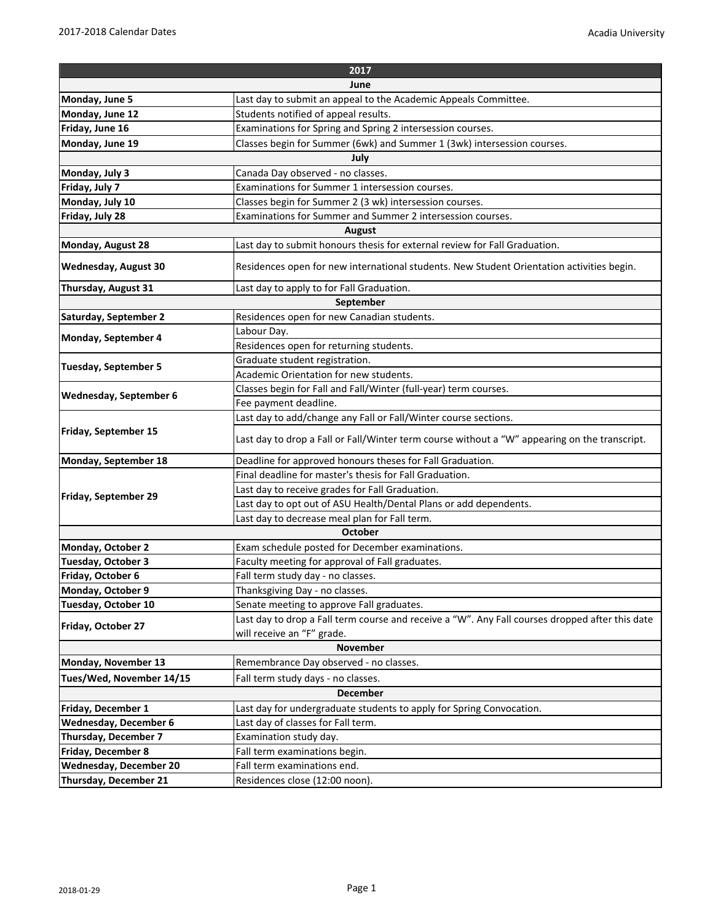| 2017                          |                                                                                                 |  |
|-------------------------------|-------------------------------------------------------------------------------------------------|--|
| June                          |                                                                                                 |  |
| Monday, June 5                | Last day to submit an appeal to the Academic Appeals Committee.                                 |  |
| Monday, June 12               | Students notified of appeal results.                                                            |  |
| Friday, June 16               | Examinations for Spring and Spring 2 intersession courses.                                      |  |
| Monday, June 19               | Classes begin for Summer (6wk) and Summer 1 (3wk) intersession courses.                         |  |
| July                          |                                                                                                 |  |
| Monday, July 3                | Canada Day observed - no classes.                                                               |  |
| Friday, July 7                | Examinations for Summer 1 intersession courses.                                                 |  |
| Monday, July 10               | Classes begin for Summer 2 (3 wk) intersession courses.                                         |  |
| Friday, July 28               | Examinations for Summer and Summer 2 intersession courses.                                      |  |
| August                        |                                                                                                 |  |
| Monday, August 28             | Last day to submit honours thesis for external review for Fall Graduation.                      |  |
| <b>Wednesday, August 30</b>   | Residences open for new international students. New Student Orientation activities begin.       |  |
| Thursday, August 31           | Last day to apply to for Fall Graduation.                                                       |  |
| September                     |                                                                                                 |  |
| Saturday, September 2         | Residences open for new Canadian students.                                                      |  |
| Monday, September 4           | Labour Day.                                                                                     |  |
|                               | Residences open for returning students.                                                         |  |
|                               | Graduate student registration.                                                                  |  |
| <b>Tuesday, September 5</b>   | Academic Orientation for new students.                                                          |  |
|                               | Classes begin for Fall and Fall/Winter (full-year) term courses.                                |  |
| Wednesday, September 6        | Fee payment deadline.                                                                           |  |
| Friday, September 15          | Last day to add/change any Fall or Fall/Winter course sections.                                 |  |
|                               | Last day to drop a Fall or Fall/Winter term course without a "W" appearing on the transcript.   |  |
| Monday, September 18          | Deadline for approved honours theses for Fall Graduation.                                       |  |
| <b>Friday, September 29</b>   | Final deadline for master's thesis for Fall Graduation.                                         |  |
|                               | Last day to receive grades for Fall Graduation.                                                 |  |
|                               | Last day to opt out of ASU Health/Dental Plans or add dependents.                               |  |
|                               | Last day to decrease meal plan for Fall term.                                                   |  |
| October                       |                                                                                                 |  |
| Monday, October 2             | Exam schedule posted for December examinations.                                                 |  |
| Tuesday, October 3            | Faculty meeting for approval of Fall graduates.                                                 |  |
| Friday, October 6             | Fall term study day - no classes.                                                               |  |
| Monday, October 9             | Thanksgiving Day - no classes.                                                                  |  |
| Tuesday, October 10           | Senate meeting to approve Fall graduates.                                                       |  |
| Friday, October 27            | Last day to drop a Fall term course and receive a "W". Any Fall courses dropped after this date |  |
|                               | will receive an "F" grade.                                                                      |  |
| <b>November</b>               |                                                                                                 |  |
| Monday, November 13           | Remembrance Day observed - no classes.                                                          |  |
| Tues/Wed, November 14/15      | Fall term study days - no classes.                                                              |  |
| <b>December</b>               |                                                                                                 |  |
| Friday, December 1            | Last day for undergraduate students to apply for Spring Convocation.                            |  |
| <b>Wednesday, December 6</b>  | Last day of classes for Fall term.                                                              |  |
| Thursday, December 7          | Examination study day.                                                                          |  |
| Friday, December 8            | Fall term examinations begin.                                                                   |  |
| <b>Wednesday, December 20</b> | Fall term examinations end.                                                                     |  |
| Thursday, December 21         | Residences close (12:00 noon).                                                                  |  |